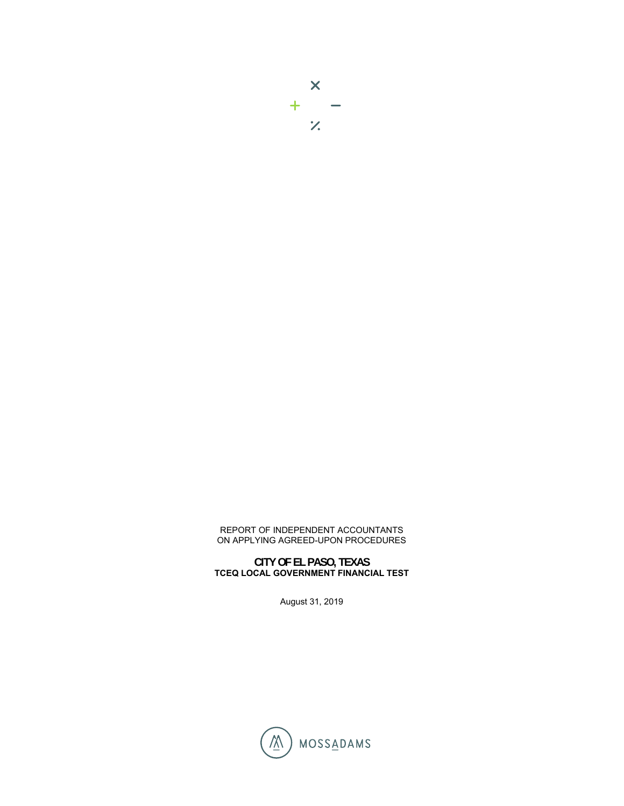

## REPORT OF INDEPENDENT ACCOUNTANTS ON APPLYING AGREED-UPON PROCEDURES

## **CITY OF EL PASO, TEXAS TCEQ LOCAL GOVERNMENT FINANCIAL TEST**

August 31, 2019

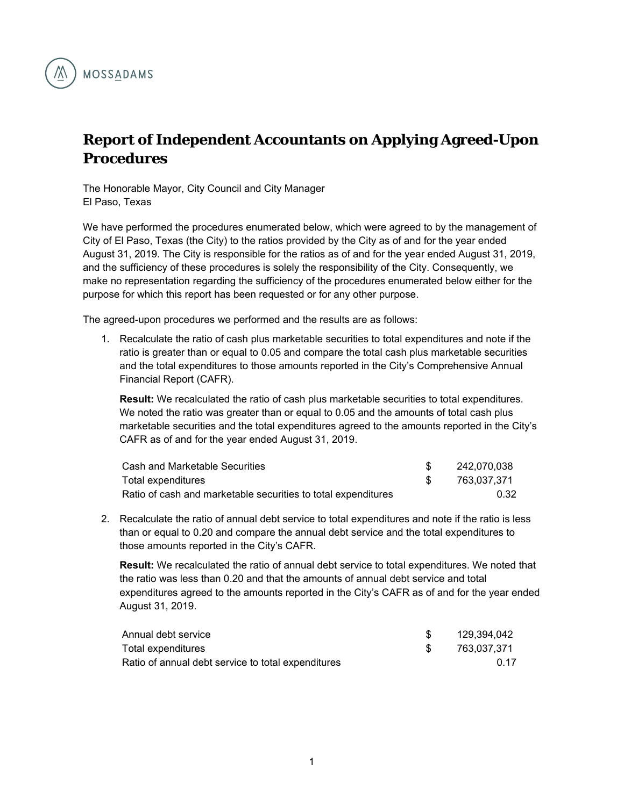

## **Report of Independent Accountants on Applying Agreed-Upon Procedures**

The Honorable Mayor, City Council and City Manager El Paso, Texas

We have performed the procedures enumerated below, which were agreed to by the management of City of El Paso, Texas (the City) to the ratios provided by the City as of and for the year ended August 31, 2019. The City is responsible for the ratios as of and for the year ended August 31, 2019, and the sufficiency of these procedures is solely the responsibility of the City. Consequently, we make no representation regarding the sufficiency of the procedures enumerated below either for the purpose for which this report has been requested or for any other purpose.

The agreed-upon procedures we performed and the results are as follows:

1. Recalculate the ratio of cash plus marketable securities to total expenditures and note if the ratio is greater than or equal to 0.05 and compare the total cash plus marketable securities and the total expenditures to those amounts reported in the City's Comprehensive Annual Financial Report (CAFR).

**Result:** We recalculated the ratio of cash plus marketable securities to total expenditures. We noted the ratio was greater than or equal to 0.05 and the amounts of total cash plus marketable securities and the total expenditures agreed to the amounts reported in the City's CAFR as of and for the year ended August 31, 2019.

| Cash and Marketable Securities                                | 242.070.038 |
|---------------------------------------------------------------|-------------|
| Total expenditures                                            | 763,037,371 |
| Ratio of cash and marketable securities to total expenditures | 0.32        |

2. Recalculate the ratio of annual debt service to total expenditures and note if the ratio is less than or equal to 0.20 and compare the annual debt service and the total expenditures to those amounts reported in the City's CAFR.

**Result:** We recalculated the ratio of annual debt service to total expenditures. We noted that the ratio was less than 0.20 and that the amounts of annual debt service and total expenditures agreed to the amounts reported in the City's CAFR as of and for the year ended August 31, 2019.

| Annual debt service                                | 129.394.042 |
|----------------------------------------------------|-------------|
| Total expenditures                                 | 763.037.371 |
| Ratio of annual debt service to total expenditures | በ 17        |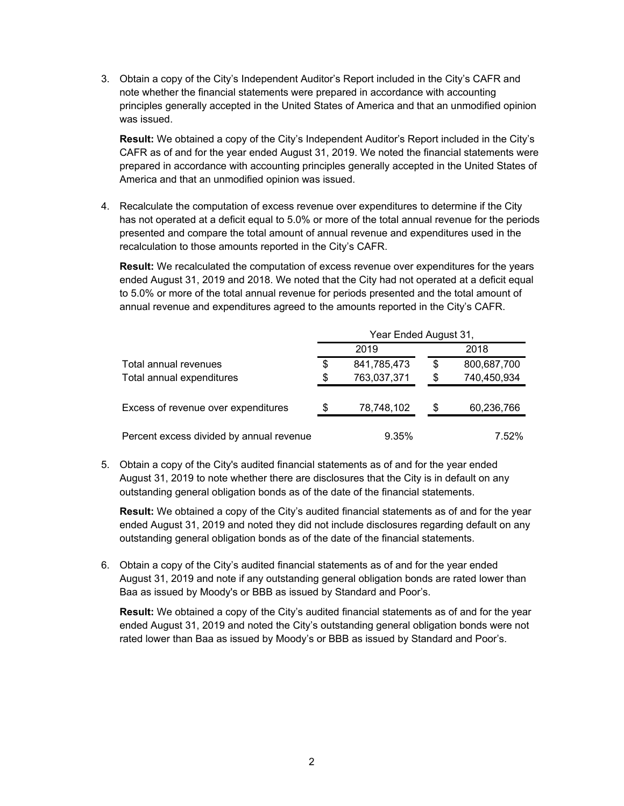3. Obtain a copy of the City's Independent Auditor's Report included in the City's CAFR and note whether the financial statements were prepared in accordance with accounting principles generally accepted in the United States of America and that an unmodified opinion was issued.

**Result:** We obtained a copy of the City's Independent Auditor's Report included in the City's CAFR as of and for the year ended August 31, 2019. We noted the financial statements were prepared in accordance with accounting principles generally accepted in the United States of America and that an unmodified opinion was issued.

4. Recalculate the computation of excess revenue over expenditures to determine if the City has not operated at a deficit equal to 5.0% or more of the total annual revenue for the periods presented and compare the total amount of annual revenue and expenditures used in the recalculation to those amounts reported in the City's CAFR.

**Result:** We recalculated the computation of excess revenue over expenditures for the years ended August 31, 2019 and 2018. We noted that the City had not operated at a deficit equal to 5.0% or more of the total annual revenue for periods presented and the total amount of annual revenue and expenditures agreed to the amounts reported in the City's CAFR.

|                                          | Year Ended August 31, |             |    |             |
|------------------------------------------|-----------------------|-------------|----|-------------|
|                                          |                       | 2019        |    | 2018        |
| Total annual revenues                    | \$                    | 841,785,473 | \$ | 800,687,700 |
| Total annual expenditures                | \$                    | 763,037,371 | \$ | 740,450,934 |
| Excess of revenue over expenditures      | \$                    | 78,748,102  | S  | 60,236,766  |
| Percent excess divided by annual revenue |                       | 9.35%       |    | 7.52%       |

5. Obtain a copy of the City's audited financial statements as of and for the year ended August 31, 2019 to note whether there are disclosures that the City is in default on any outstanding general obligation bonds as of the date of the financial statements.

**Result:** We obtained a copy of the City's audited financial statements as of and for the year ended August 31, 2019 and noted they did not include disclosures regarding default on any outstanding general obligation bonds as of the date of the financial statements.

6. Obtain a copy of the City's audited financial statements as of and for the year ended August 31, 2019 and note if any outstanding general obligation bonds are rated lower than Baa as issued by Moody's or BBB as issued by Standard and Poor's.

**Result:** We obtained a copy of the City's audited financial statements as of and for the year ended August 31, 2019 and noted the City's outstanding general obligation bonds were not rated lower than Baa as issued by Moody's or BBB as issued by Standard and Poor's.